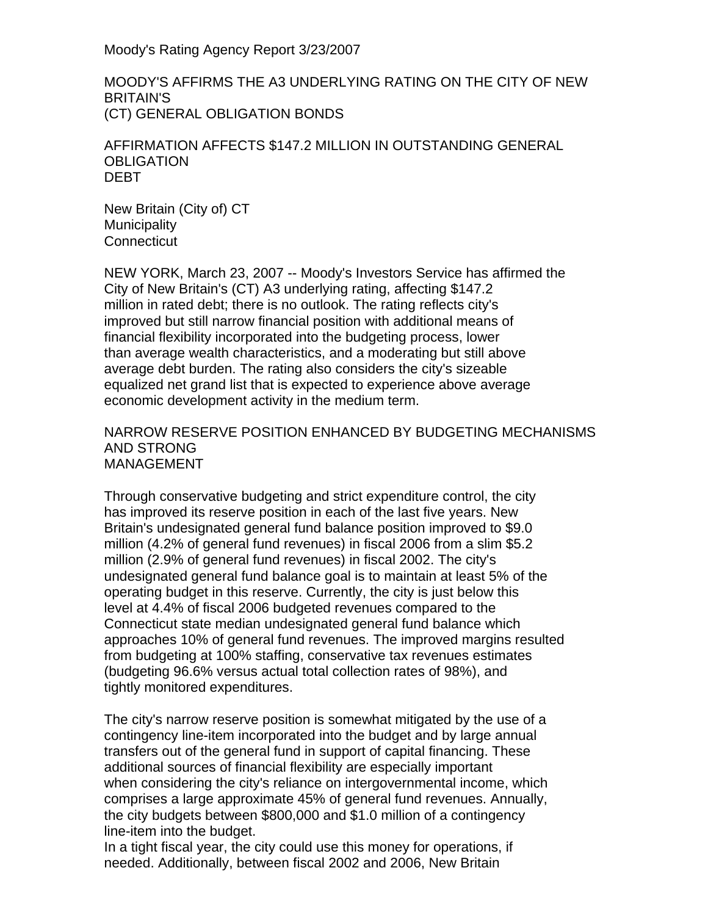Moody's Rating Agency Report 3/23/2007

MOODY'S AFFIRMS THE A3 UNDERLYING RATING ON THE CITY OF NEW BRITAIN'S (CT) GENERAL OBLIGATION BONDS

AFFIRMATION AFFECTS \$147.2 MILLION IN OUTSTANDING GENERAL **OBLIGATION DEBT** 

New Britain (City of) CT **Municipality Connecticut** 

NEW YORK, March 23, 2007 -- Moody's Investors Service has affirmed the City of New Britain's (CT) A3 underlying rating, affecting \$147.2 million in rated debt; there is no outlook. The rating reflects city's improved but still narrow financial position with additional means of financial flexibility incorporated into the budgeting process, lower than average wealth characteristics, and a moderating but still above average debt burden. The rating also considers the city's sizeable equalized net grand list that is expected to experience above average economic development activity in the medium term.

## NARROW RESERVE POSITION ENHANCED BY BUDGETING MECHANISMS AND STRONG MANAGEMENT

Through conservative budgeting and strict expenditure control, the city has improved its reserve position in each of the last five years. New Britain's undesignated general fund balance position improved to \$9.0 million (4.2% of general fund revenues) in fiscal 2006 from a slim \$5.2 million (2.9% of general fund revenues) in fiscal 2002. The city's undesignated general fund balance goal is to maintain at least 5% of the operating budget in this reserve. Currently, the city is just below this level at 4.4% of fiscal 2006 budgeted revenues compared to the Connecticut state median undesignated general fund balance which approaches 10% of general fund revenues. The improved margins resulted from budgeting at 100% staffing, conservative tax revenues estimates (budgeting 96.6% versus actual total collection rates of 98%), and tightly monitored expenditures.

The city's narrow reserve position is somewhat mitigated by the use of a contingency line-item incorporated into the budget and by large annual transfers out of the general fund in support of capital financing. These additional sources of financial flexibility are especially important when considering the city's reliance on intergovernmental income, which comprises a large approximate 45% of general fund revenues. Annually, the city budgets between \$800,000 and \$1.0 million of a contingency line-item into the budget.

In a tight fiscal year, the city could use this money for operations, if needed. Additionally, between fiscal 2002 and 2006, New Britain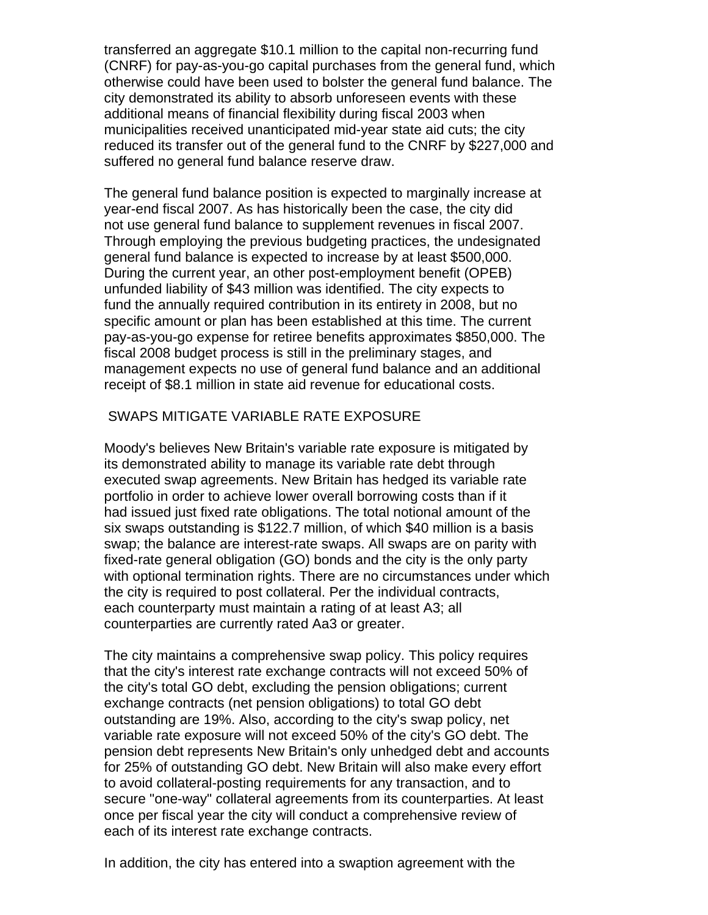transferred an aggregate \$10.1 million to the capital non-recurring fund (CNRF) for pay-as-you-go capital purchases from the general fund, which otherwise could have been used to bolster the general fund balance. The city demonstrated its ability to absorb unforeseen events with these additional means of financial flexibility during fiscal 2003 when municipalities received unanticipated mid-year state aid cuts; the city reduced its transfer out of the general fund to the CNRF by \$227,000 and suffered no general fund balance reserve draw.

The general fund balance position is expected to marginally increase at year-end fiscal 2007. As has historically been the case, the city did not use general fund balance to supplement revenues in fiscal 2007. Through employing the previous budgeting practices, the undesignated general fund balance is expected to increase by at least \$500,000. During the current year, an other post-employment benefit (OPEB) unfunded liability of \$43 million was identified. The city expects to fund the annually required contribution in its entirety in 2008, but no specific amount or plan has been established at this time. The current pay-as-you-go expense for retiree benefits approximates \$850,000. The fiscal 2008 budget process is still in the preliminary stages, and management expects no use of general fund balance and an additional receipt of \$8.1 million in state aid revenue for educational costs.

## SWAPS MITIGATE VARIABLE RATE EXPOSURE

Moody's believes New Britain's variable rate exposure is mitigated by its demonstrated ability to manage its variable rate debt through executed swap agreements. New Britain has hedged its variable rate portfolio in order to achieve lower overall borrowing costs than if it had issued just fixed rate obligations. The total notional amount of the six swaps outstanding is \$122.7 million, of which \$40 million is a basis swap; the balance are interest-rate swaps. All swaps are on parity with fixed-rate general obligation (GO) bonds and the city is the only party with optional termination rights. There are no circumstances under which the city is required to post collateral. Per the individual contracts, each counterparty must maintain a rating of at least A3; all counterparties are currently rated Aa3 or greater.

The city maintains a comprehensive swap policy. This policy requires that the city's interest rate exchange contracts will not exceed 50% of the city's total GO debt, excluding the pension obligations; current exchange contracts (net pension obligations) to total GO debt outstanding are 19%. Also, according to the city's swap policy, net variable rate exposure will not exceed 50% of the city's GO debt. The pension debt represents New Britain's only unhedged debt and accounts for 25% of outstanding GO debt. New Britain will also make every effort to avoid collateral-posting requirements for any transaction, and to secure "one-way" collateral agreements from its counterparties. At least once per fiscal year the city will conduct a comprehensive review of each of its interest rate exchange contracts.

In addition, the city has entered into a swaption agreement with the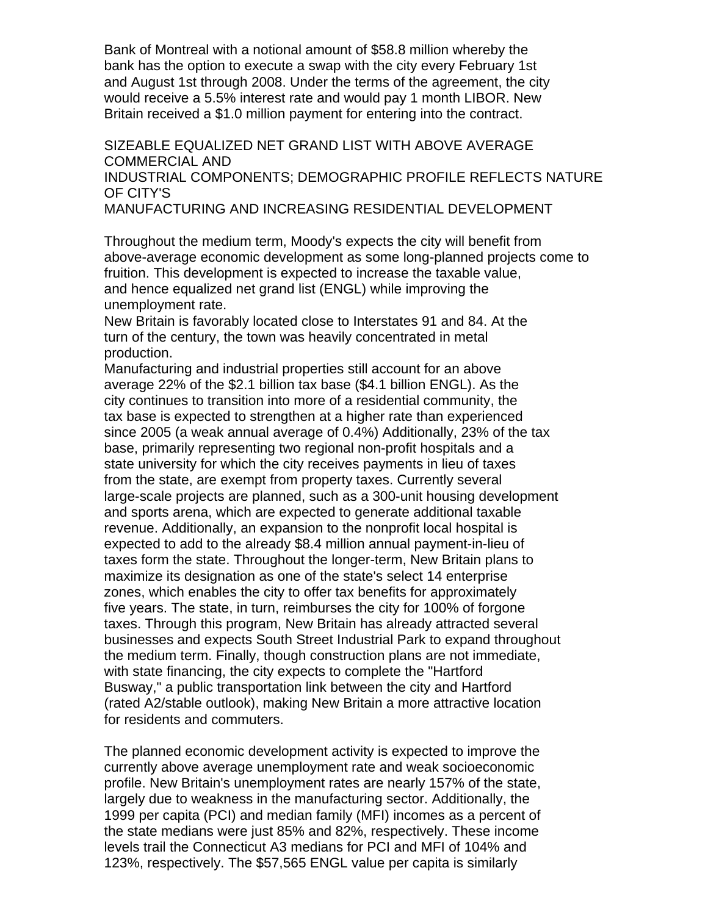Bank of Montreal with a notional amount of \$58.8 million whereby the bank has the option to execute a swap with the city every February 1st and August 1st through 2008. Under the terms of the agreement, the city would receive a 5.5% interest rate and would pay 1 month LIBOR. New Britain received a \$1.0 million payment for entering into the contract.

SIZEABLE EQUALIZED NET GRAND LIST WITH ABOVE AVERAGE COMMERCIAL AND INDUSTRIAL COMPONENTS; DEMOGRAPHIC PROFILE REFLECTS NATURE OF CITY'S MANUFACTURING AND INCREASING RESIDENTIAL DEVELOPMENT

Throughout the medium term, Moody's expects the city will benefit from above-average economic development as some long-planned projects come to fruition. This development is expected to increase the taxable value, and hence equalized net grand list (ENGL) while improving the unemployment rate.

New Britain is favorably located close to Interstates 91 and 84. At the turn of the century, the town was heavily concentrated in metal production.

Manufacturing and industrial properties still account for an above average 22% of the \$2.1 billion tax base (\$4.1 billion ENGL). As the city continues to transition into more of a residential community, the tax base is expected to strengthen at a higher rate than experienced since 2005 (a weak annual average of 0.4%) Additionally, 23% of the tax base, primarily representing two regional non-profit hospitals and a state university for which the city receives payments in lieu of taxes from the state, are exempt from property taxes. Currently several large-scale projects are planned, such as a 300-unit housing development and sports arena, which are expected to generate additional taxable revenue. Additionally, an expansion to the nonprofit local hospital is expected to add to the already \$8.4 million annual payment-in-lieu of taxes form the state. Throughout the longer-term, New Britain plans to maximize its designation as one of the state's select 14 enterprise zones, which enables the city to offer tax benefits for approximately five years. The state, in turn, reimburses the city for 100% of forgone taxes. Through this program, New Britain has already attracted several businesses and expects South Street Industrial Park to expand throughout the medium term. Finally, though construction plans are not immediate, with state financing, the city expects to complete the "Hartford Busway," a public transportation link between the city and Hartford (rated A2/stable outlook), making New Britain a more attractive location for residents and commuters.

The planned economic development activity is expected to improve the currently above average unemployment rate and weak socioeconomic profile. New Britain's unemployment rates are nearly 157% of the state, largely due to weakness in the manufacturing sector. Additionally, the 1999 per capita (PCI) and median family (MFI) incomes as a percent of the state medians were just 85% and 82%, respectively. These income levels trail the Connecticut A3 medians for PCI and MFI of 104% and 123%, respectively. The \$57,565 ENGL value per capita is similarly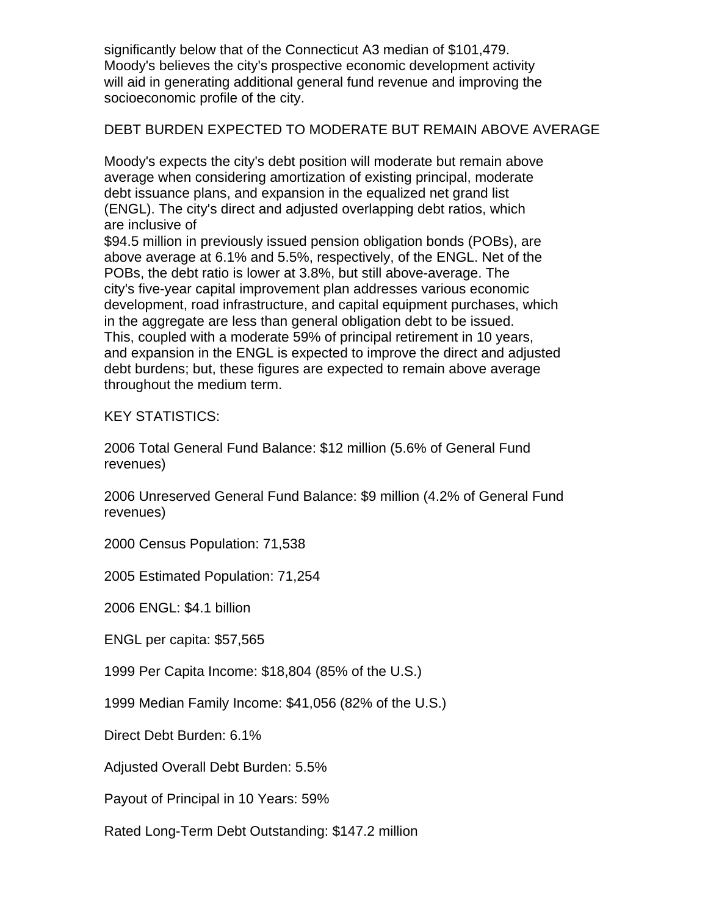significantly below that of the Connecticut A3 median of \$101,479. Moody's believes the city's prospective economic development activity will aid in generating additional general fund revenue and improving the socioeconomic profile of the city.

## DEBT BURDEN EXPECTED TO MODERATE BUT REMAIN ABOVE AVERAGE

Moody's expects the city's debt position will moderate but remain above average when considering amortization of existing principal, moderate debt issuance plans, and expansion in the equalized net grand list (ENGL). The city's direct and adjusted overlapping debt ratios, which are inclusive of

\$94.5 million in previously issued pension obligation bonds (POBs), are above average at 6.1% and 5.5%, respectively, of the ENGL. Net of the POBs, the debt ratio is lower at 3.8%, but still above-average. The city's five-year capital improvement plan addresses various economic development, road infrastructure, and capital equipment purchases, which in the aggregate are less than general obligation debt to be issued. This, coupled with a moderate 59% of principal retirement in 10 years, and expansion in the ENGL is expected to improve the direct and adjusted debt burdens; but, these figures are expected to remain above average throughout the medium term.

KEY STATISTICS:

2006 Total General Fund Balance: \$12 million (5.6% of General Fund revenues)

2006 Unreserved General Fund Balance: \$9 million (4.2% of General Fund revenues)

2000 Census Population: 71,538

2005 Estimated Population: 71,254

2006 ENGL: \$4.1 billion

ENGL per capita: \$57,565

1999 Per Capita Income: \$18,804 (85% of the U.S.)

1999 Median Family Income: \$41,056 (82% of the U.S.)

Direct Debt Burden: 6.1%

Adjusted Overall Debt Burden: 5.5%

Payout of Principal in 10 Years: 59%

Rated Long-Term Debt Outstanding: \$147.2 million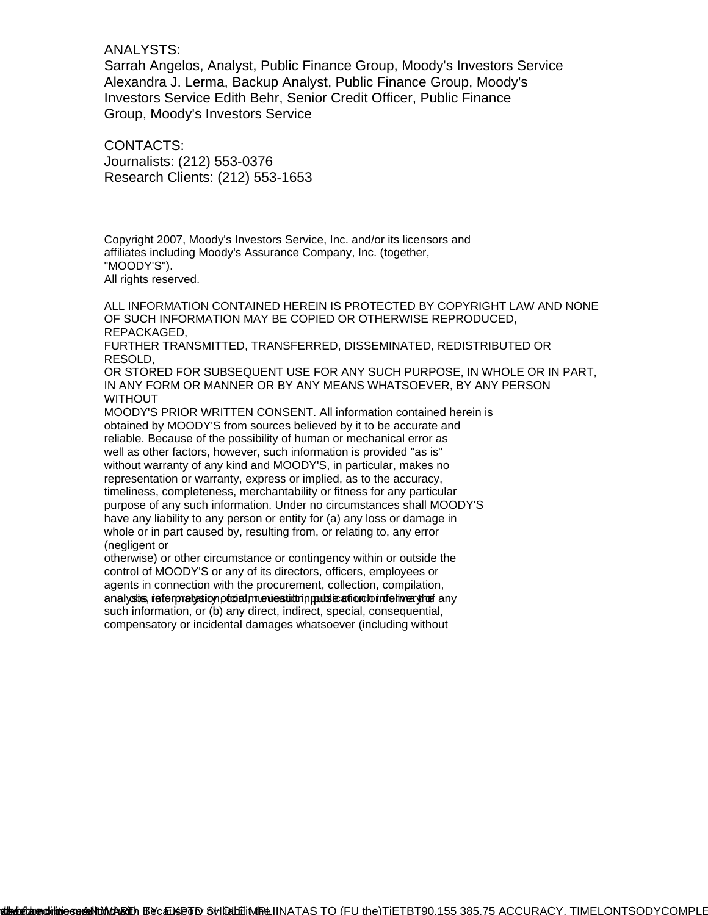ANALYSTS:

Sarrah Angelos, Analyst, Public Finance Group, Moody's Investors Service Alexandra J. Lerma, Backup Analyst, Public Finance Group, Moody's Investors Service Edith Behr, Senior Credit Officer, Public Finance Group, Moody's Investors Service

CONTACTS: Journalists: (212) 553-0376 Research Clients: (212) 553-1653

Copyright 2007, Moody's Investors Service, Inc. and/or its licensors and affiliates including Moody's Assurance Company, Inc. (together, "MOODY'S"). All rights reserved.

ALL INFORMATION CONTAINED HEREIN IS PROTECTED BY COPYRIGHT LAW AND NONE OF SUCH INFORMATION MAY BE COPIED OR OTHERWISE REPRODUCED, REPACKAGED,

FURTHER TRANSMITTED, TRANSFERRED, DISSEMINATED, REDISTRIBUTED OR RESOLD,

OR STORED FOR SUBSEQUENT USE FOR ANY SUCH PURPOSE, IN WHOLE OR IN PART, IN ANY FORM OR MANNER OR BY ANY MEANS WHATSOEVER, BY ANY PERSON WITHOUT

MOODY'S PRIOR WRITTEN CONSENT. All information contained herein is obtained by MOODY'S from sources believed by it to be accurate and reliable. Because of the possibility of human or mechanical error as well as other factors, however, such information is provided "as is" without warranty of any kind and MOODY'S, in particular, makes no representation or warranty, express or implied, as to the accuracy, timeliness, completeness, merchantability or fitness for any particular purpose of any such information. Under no circumstances shall MOODY'S have any liability to any person or entity for (a) any loss or damage in whole or in part caused by, resulting from, or relating to, any error (negligent or

otherwise) or other circumstance or contingency within or outside the dsuttorysfDV(SQD)offSVQGDynedib) dinsctor;amatites dnam, pledyees or agents in connection with the procurement, collection, compilation, analystiss, inaformalystioy of communication in publication of orion any any such information, or (b) any direct, indirect, special, consequential, compensatory or incidental damages whatsoever (including without